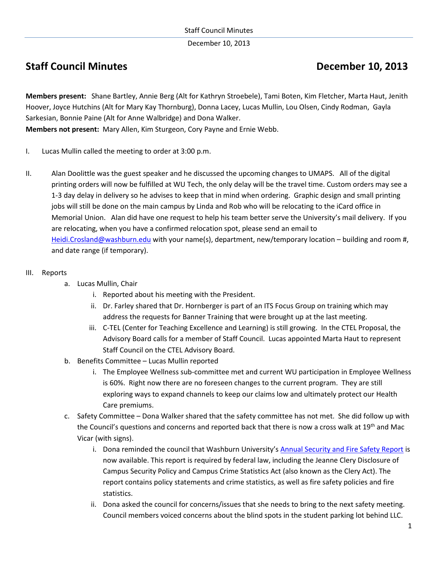December 10, 2013

# **Staff Council Minutes Council Minutes Council Accord Property Council Accord Property December 10, 2013**

**Members present:** Shane Bartley, Annie Berg (Alt for Kathryn Stroebele), Tami Boten, Kim Fletcher, Marta Haut, Jenith Hoover, Joyce Hutchins (Alt for Mary Kay Thornburg), Donna Lacey, Lucas Mullin, Lou Olsen, Cindy Rodman, Gayla Sarkesian, Bonnie Paine (Alt for Anne Walbridge) and Dona Walker.

**Members not present:** Mary Allen, Kim Sturgeon, Cory Payne and Ernie Webb.

- I. Lucas Mullin called the meeting to order at 3:00 p.m.
- II. Alan Doolittle was the guest speaker and he discussed the upcoming changes to UMAPS. All of the digital printing orders will now be fulfilled at WU Tech, the only delay will be the travel time. Custom orders may see a 1-3 day delay in delivery so he advises to keep that in mind when ordering. Graphic design and small printing jobs will still be done on the main campus by Linda and Rob who will be relocating to the iCard office in Memorial Union. Alan did have one request to help his team better serve the University's mail delivery. If you are relocating, when you have a confirmed relocation spot, please send an email to [Heidi.Crosland@washburn.edu](mailto:Heidi.Crosland@washburn.edu) with your name(s), department, new/temporary location – building and room #, and date range (if temporary).
- III. Reports
	- a. Lucas Mullin, Chair
		- i. Reported about his meeting with the President.
		- ii. Dr. Farley shared that Dr. Hornberger is part of an ITS Focus Group on training which may address the requests for Banner Training that were brought up at the last meeting.
		- iii. C-TEL (Center for Teaching Excellence and Learning) is still growing. In the CTEL Proposal, the Advisory Board calls for a member of Staff Council. Lucas appointed Marta Haut to represent Staff Council on the CTEL Advisory Board.
	- b. Benefits Committee Lucas Mullin reported
		- i. The Employee Wellness sub-committee met and current WU participation in Employee Wellness is 60%. Right now there are no foreseen changes to the current program. They are still exploring ways to expand channels to keep our claims low and ultimately protect our Health Care premiums.
	- c. Safety Committee Dona Walker shared that the safety committee has not met. She did follow up with the Council's questions and concerns and reported back that there is now a cross walk at 19<sup>th</sup> and Mac Vicar (with signs).
		- i. Dona reminded the council that Washburn University's [Annual Security and Fire Safety Report](http://www.washburn.edu/current-students/right-to-know/Annual%20Campus%20Security%20and%20Fire%20Safety%20Report) is now available. This report is required by federal law, including the Jeanne Clery Disclosure of Campus Security Policy and Campus Crime Statistics Act (also known as the Clery Act). The report contains policy statements and crime statistics, as well as fire safety policies and fire statistics.
		- ii. Dona asked the council for concerns/issues that she needs to bring to the next safety meeting. Council members voiced concerns about the blind spots in the student parking lot behind LLC.